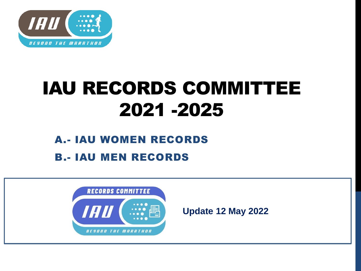

## IAU RECORDS COMMITTEE 2021 -2025

## A.- IAU WOMEN RECORDS B.- IAU MEN RECORDS



**Update 12 May 2022**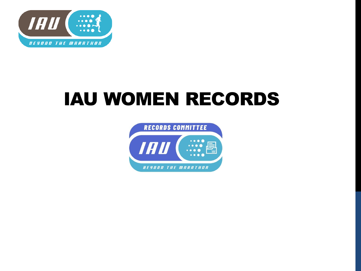

## IAU WOMEN RECORDS

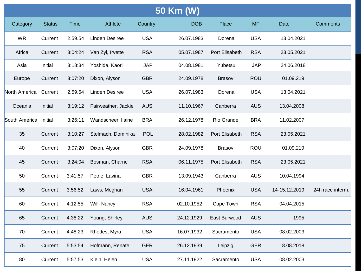|               | 50 Km (W)     |             |                       |            |            |                |            |               |                  |
|---------------|---------------|-------------|-----------------------|------------|------------|----------------|------------|---------------|------------------|
| Category      | <b>Status</b> | <b>Time</b> | Athlete               | Country    | <b>DOB</b> | Place          | <b>MF</b>  | Date          | <b>Comments</b>  |
| <b>WR</b>     | Current       | 2.59.54     | <b>Linden Desiree</b> | <b>USA</b> | 26.07.1983 | Dorena         | <b>USA</b> | 13.04.2021    |                  |
| Africa        | Current       | 3:04:24     | Van Zyl, Irvette      | <b>RSA</b> | 05.07.1987 | Port Elisabeth | <b>RSA</b> | 23.05.2021    |                  |
| Asia          | Initial       | 3:18:34     | Yoshida, Kaori        | <b>JAP</b> | 04.08.1981 | Yubetsu        | <b>JAP</b> | 24.06.2018    |                  |
| Europe        | Current       | 3:07:20     | Dixon, Alyson         | <b>GBR</b> | 24.09.1978 | <b>Brasov</b>  | <b>ROU</b> | 01.09.219     |                  |
| North America | Current       | 2.59.54     | <b>Linden Desiree</b> | <b>USA</b> | 26.07.1983 | Dorena         | <b>USA</b> | 13.04.2021    |                  |
| Oceania       | Initial       | 3:19:12     | Fairweather, Jackie   | <b>AUS</b> | 11.10.1967 | Canberra       | <b>AUS</b> | 13.04.2008    |                  |
| South America | Initial       | 3:26:11     | Wandscheer, Ilaine    | <b>BRA</b> | 26.12.1978 | Rio Grande     | <b>BRA</b> | 11.02.2007    |                  |
| 35            | Current       | 3:10:27     | Stelmach, Dominika    | <b>POL</b> | 28.02.1982 | Port Elisabeth | <b>RSA</b> | 23.05.2021    |                  |
| 40            | Current       | 3:07:20     | Dixon, Alyson         | <b>GBR</b> | 24.09.1978 | <b>Brasov</b>  | <b>ROU</b> | 01.09.219     |                  |
| 45            | Current       | 3:24:04     | Bosman, Charne        | <b>RSA</b> | 06.11.1975 | Port Elisabeth | <b>RSA</b> | 23.05.2021    |                  |
| 50            | Current       | 3:41:57     | Petrie, Lavina        | <b>GBR</b> | 13.09.1943 | Canberra       | <b>AUS</b> | 10.04.1994    |                  |
| 55            | Current       | 3:56:52     | Laws, Meghan          | <b>USA</b> | 16.04.1961 | Phoenix        | <b>USA</b> | 14-15.12.2019 | 24h race interm. |
| 60            | Current       | 4:12:55     | Will, Nancy           | <b>RSA</b> | 02.10.1952 | Cape Town      | <b>RSA</b> | 04.04.2015    |                  |
| 65            | Current       | 4:38:22     | Young, Shirley        | <b>AUS</b> | 24.12.1929 | East Burwood   | <b>AUS</b> | 1995          |                  |
| 70            | Current       | 4:48:23     | Rhodes, Myra          | <b>USA</b> | 16.07.1932 | Sacramento     | <b>USA</b> | 08.02.2003    |                  |
| 75            | Current       | 5:53:54     | Hofmann, Renate       | <b>GER</b> | 26.12.1939 | Leipzig        | <b>GER</b> | 18.08.2018    |                  |
| 80            | Current       | 5:57:53     | Klein, Helen          | <b>USA</b> | 27.11.1922 | Sacramento     | <b>USA</b> | 08.02.2003    |                  |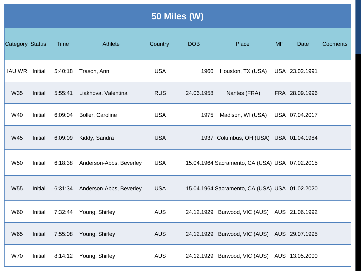|                        | 50 Miles (W) |         |                         |            |            |                                                |           |                |          |  |  |
|------------------------|--------------|---------|-------------------------|------------|------------|------------------------------------------------|-----------|----------------|----------|--|--|
| <b>Category Status</b> |              | Time    | Athlete                 | Country    | <b>DOB</b> | Place                                          | <b>MF</b> | <b>Date</b>    | Cooments |  |  |
| IAU WR Initial         |              | 5:40:18 | Trason, Ann             | <b>USA</b> | 1960       | Houston, TX (USA)                              |           | USA 23.02.1991 |          |  |  |
| W35                    | Initial      | 5:55:41 | Liakhova, Valentina     | <b>RUS</b> | 24.06.1958 | Nantes (FRA)                                   |           | FRA 28.09.1996 |          |  |  |
| W40                    | Initial      | 6:09:04 | Boller, Caroline        | <b>USA</b> | 1975       | Madison, WI (USA)                              |           | USA 07.04.2017 |          |  |  |
| <b>W45</b>             | Initial      | 6:09:09 | Kiddy, Sandra           | <b>USA</b> |            | 1937 Columbus, OH (USA) USA 01.04.1984         |           |                |          |  |  |
| <b>W50</b>             | Initial      | 6:18:38 | Anderson-Abbs, Beverley | <b>USA</b> |            | 15.04.1964 Sacramento, CA (USA) USA 07.02.2015 |           |                |          |  |  |
| <b>W55</b>             | Initial      | 6:31:34 | Anderson-Abbs, Beverley | <b>USA</b> |            | 15.04.1964 Sacramento, CA (USA) USA 01.02.2020 |           |                |          |  |  |
| <b>W60</b>             | Initial      | 7:32:44 | Young, Shirley          | <b>AUS</b> |            | 24.12.1929 Burwood, VIC (AUS) AUS 21.06.1992   |           |                |          |  |  |
| <b>W65</b>             | Initial      | 7:55:08 | Young, Shirley          | <b>AUS</b> |            | 24.12.1929 Burwood, VIC (AUS) AUS 29.07.1995   |           |                |          |  |  |
| <b>W70</b>             | Initial      | 8:14:12 | Young, Shirley          | <b>AUS</b> |            | 24.12.1929 Burwood, VIC (AUS) AUS 13.05.2000   |           |                |          |  |  |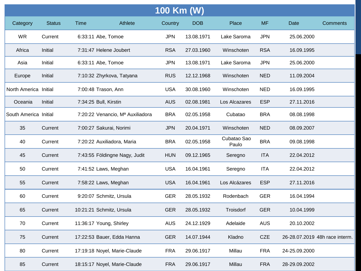|                       | 100 Km (W)    |                                  |         |            |            |                      |            |               |                                |  |
|-----------------------|---------------|----------------------------------|---------|------------|------------|----------------------|------------|---------------|--------------------------------|--|
| Category              | <b>Status</b> | <b>Time</b>                      | Athlete | Country    | <b>DOB</b> | Place                | <b>MF</b>  | Date          | <b>Comments</b>                |  |
| <b>WR</b>             | Current       | 6:33:11 Abe, Tomoe               |         | <b>JPN</b> | 13.08.1971 | Lake Saroma          | <b>JPN</b> | 25.06.2000    |                                |  |
| Africa                | Initial       | 7:31:47 Helene Joubert           |         | <b>RSA</b> | 27.03.1960 | Winschoten           | <b>RSA</b> | 16.09.1995    |                                |  |
| Asia                  | Initial       | 6:33:11 Abe, Tomoe               |         | <b>JPN</b> | 13.08.1971 | Lake Saroma          | <b>JPN</b> | 25.06.2000    |                                |  |
| Europe                | Initial       | 7:10:32 Zhyrkova, Tatyana        |         | <b>RUS</b> | 12.12.1968 | Winschoten           | <b>NED</b> | 11.09.2004    |                                |  |
| North America Initial |               | 7:00:48 Trason, Ann              |         | <b>USA</b> | 30.08.1960 | Winschoten           | <b>NED</b> | 16.09.1995    |                                |  |
| Oceania               | Initial       | 7:34:25 Bull, Kirstin            |         | <b>AUS</b> | 02.08.1981 | Los Alcazares        | <b>ESP</b> | 27.11.2016    |                                |  |
| South America Initial |               | 7:20:22 Venancio, Mª Auxiliadora |         | <b>BRA</b> | 02.05.1958 | Cubatao              | <b>BRA</b> | 08.08.1998    |                                |  |
| 35                    | Current       | 7:00:27 Sakurai, Norimi          |         | <b>JPN</b> | 20.04.1971 | Winschoten           | <b>NED</b> | 08.09.2007    |                                |  |
| 40                    | Current       | 7:20:22 Auxiliadora, Maria       |         | <b>BRA</b> | 02.05.1958 | Cubatao Sao<br>Paulo | <b>BRA</b> | 09.08.1998    |                                |  |
| 45                    | Current       | 7:43:55 Földingne Nagy, Judit    |         | <b>HUN</b> | 09.12.1965 | Seregno              | <b>ITA</b> | 22.04.2012    |                                |  |
| 50                    | Current       | 7:41:52 Laws, Meghan             |         | <b>USA</b> | 16.04.1961 | Seregno              | <b>ITA</b> | 22.04.2012    |                                |  |
| 55                    | Current       | 7:58:22 Laws, Meghan             |         | <b>USA</b> | 16.04.1961 | Los Alcázares        | <b>ESP</b> | 27.11.2016    |                                |  |
| 60                    | Current       | 9:20:07 Schmitz, Ursula          |         | <b>GER</b> | 28.05.1932 | Rodenbach            | <b>GER</b> | 16.04.1994    |                                |  |
| 65                    | Current       | 10:21:21 Schmitz, Ursula         |         | <b>GER</b> | 28.05.1932 | Troisdorf            | <b>GER</b> | 10.04.1999    |                                |  |
| 70                    | Current       | 11:36:17 Young, Shirley          |         | <b>AUS</b> | 24.12.1929 | Adelaide             | <b>AUS</b> | 20.10.2002    |                                |  |
| 75                    | Current       | 17:22:53 Bauer, Edda Hanna       |         | <b>GER</b> | 14.07.1944 | Kladno               | <b>CZE</b> |               | 26-28.07.2019 48h race interm. |  |
| 80                    | Current       | 17:19:18 Noyel, Marie-Claude     |         | <b>FRA</b> | 29.06.1917 | Millau               | <b>FRA</b> | 24-25.09.2000 |                                |  |
| 85                    | Current       | 18:15:17 Noyel, Marie-Claude     |         | <b>FRA</b> | 29.06.1917 | Millau               | <b>FRA</b> | 28-29.09.2002 |                                |  |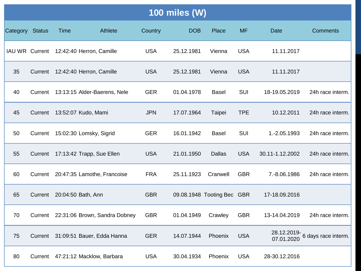|                 | <b>100 miles (W)</b> |                     |                                         |            |            |                            |            |                 |                                               |  |  |
|-----------------|----------------------|---------------------|-----------------------------------------|------------|------------|----------------------------|------------|-----------------|-----------------------------------------------|--|--|
| Category Status |                      | Time                | Athlete                                 | Country    | <b>DOB</b> | Place                      | <b>MF</b>  | <b>Date</b>     | <b>Comments</b>                               |  |  |
|                 |                      |                     | IAU WR Current 12:42:40 Herron, Camille | <b>USA</b> | 25.12.1981 | Vienna                     | <b>USA</b> | 11.11.2017      |                                               |  |  |
| 35              |                      |                     | Current 12:42:40 Herron, Camille        | <b>USA</b> | 25.12.1981 | Vienna                     | <b>USA</b> | 11.11.2017      |                                               |  |  |
| 40              | Current              |                     | 13:13:15 Alder-Baerens, Nele            | <b>GER</b> | 01.04.1978 | <b>Basel</b>               | SUI        | 18-19.05.2019   | 24h race interm.                              |  |  |
| 45              | Current              | 13:52:07 Kudo, Mami |                                         | <b>JPN</b> | 17.07.1964 | Taipei                     | <b>TPE</b> | 10.12.2011      | 24h race interm.                              |  |  |
| 50              | Current              |                     | 15:02:30 Lomsky, Sigrid                 | <b>GER</b> | 16.01.1942 | <b>Basel</b>               | SUI        | 1.-2.05.1993    | 24h race interm.                              |  |  |
| 55              |                      |                     | Current 17:13:42 Trapp, Sue Ellen       | <b>USA</b> | 21.01.1950 | <b>Dallas</b>              | <b>USA</b> | 30.11-1.12.2002 | 24h race interm.                              |  |  |
| 60              |                      |                     | Current 20:47:35 Lamothe, Francoise     | <b>FRA</b> | 25.11.1923 | Cranwell                   | <b>GBR</b> | 7.-8.06.1986    | 24h race interm.                              |  |  |
| 65              | Current              | 20:04:50 Bath, Ann  |                                         | <b>GBR</b> |            | 09.08.1948 Tooting Bec GBR |            | 17-18.09.2016   |                                               |  |  |
| 70              | Current              |                     | 22:31:06 Brown, Sandra Dobney           | <b>GBR</b> | 01.04.1949 | Crawley                    | <b>GBR</b> | 13-14.04.2019   | 24h race interm.                              |  |  |
| 75              |                      |                     | Current 31:09:51 Bauer, Edda Hanna      | <b>GER</b> | 14.07.1944 | Phoenix                    | <b>USA</b> |                 | 28.12.2019-<br>07.01.2020 6 days race interm. |  |  |
| 80              |                      |                     | Current 47:21:12 Macklow, Barbara       | <b>USA</b> | 30.04.1934 | Phoenix                    | <b>USA</b> | 28-30.12.2016   |                                               |  |  |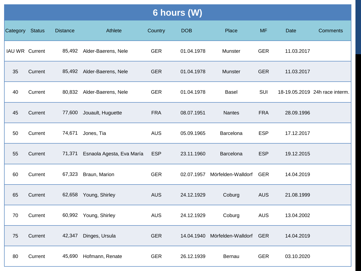|                 | <b>6 hours (W)</b> |                 |                            |            |            |                                   |            |            |                                |  |  |
|-----------------|--------------------|-----------------|----------------------------|------------|------------|-----------------------------------|------------|------------|--------------------------------|--|--|
| Category Status |                    | <b>Distance</b> | Athlete                    | Country    | <b>DOB</b> | Place                             | <b>MF</b>  | Date       | <b>Comments</b>                |  |  |
| IAU WR Current  |                    |                 | 85,492 Alder-Baerens, Nele | <b>GER</b> | 01.04.1978 | Munster                           | <b>GER</b> | 11.03.2017 |                                |  |  |
| 35              | Current            |                 | 85,492 Alder-Baerens, Nele | <b>GER</b> | 01.04.1978 | Munster                           | <b>GER</b> | 11.03.2017 |                                |  |  |
| 40              | Current            |                 | 80,832 Alder-Baerens, Nele | <b>GER</b> | 01.04.1978 | <b>Basel</b>                      | SUI        |            | 18-19.05.2019 24h race interm. |  |  |
| 45              | Current            | 77,600          | Jouault, Huguette          | <b>FRA</b> | 08.07.1951 | <b>Nantes</b>                     | <b>FRA</b> | 28.09.1996 |                                |  |  |
| 50              | Current            | 74,671          | Jones, Tia                 | <b>AUS</b> | 05.09.1965 | Barcelona                         | <b>ESP</b> | 17.12.2017 |                                |  |  |
| 55              | Current            | 71,371          | Esnaola Agesta, Eva María  | <b>ESP</b> | 23.11.1960 | Barcelona                         | <b>ESP</b> | 19.12.2015 |                                |  |  |
| 60              | Current            | 67,323          | Braun, Marion              | <b>GER</b> |            | 02.07.1957 Mörfelden-Walldorf GER |            | 14.04.2019 |                                |  |  |
| 65              | Current            |                 | 62,658 Young, Shirley      | <b>AUS</b> | 24.12.1929 | Coburg                            | <b>AUS</b> | 21.08.1999 |                                |  |  |
| 70              | Current            |                 | 60,992 Young, Shirley      | <b>AUS</b> | 24.12.1929 | Coburg                            | <b>AUS</b> | 13.04.2002 |                                |  |  |
| 75              | Current            | 42,347          | Dinges, Ursula             | <b>GER</b> | 14.04.1940 | Mörfelden-Walldorf                | <b>GER</b> | 14.04.2019 |                                |  |  |
| 80              | Current            |                 | 45,690 Hofmann, Renate     | <b>GER</b> | 26.12.1939 | Bernau                            | <b>GER</b> | 03.10.2020 |                                |  |  |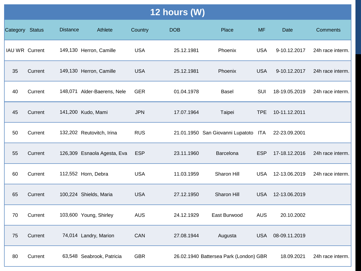|                 | 12 hours (W) |                 |                             |            |            |                                        |            |                   |                  |  |
|-----------------|--------------|-----------------|-----------------------------|------------|------------|----------------------------------------|------------|-------------------|------------------|--|
| Category Status |              | <b>Distance</b> | Athlete                     | Country    | <b>DOB</b> | Place                                  | <b>MF</b>  | <b>Date</b>       | <b>Comments</b>  |  |
| IAU WR Current  |              |                 | 149,130 Herron, Camille     | <b>USA</b> | 25.12.1981 | Phoenix                                | <b>USA</b> | 9-10.12.2017      | 24h race interm. |  |
| 35              | Current      |                 | 149,130 Herron, Camille     | <b>USA</b> | 25.12.1981 | Phoenix                                | <b>USA</b> | 9-10.12.2017      | 24h race interm. |  |
| 40              | Current      |                 | 148,071 Alder-Baerens, Nele | <b>GER</b> | 01.04.1978 | <b>Basel</b>                           | SUI        | 18-19.05.2019     | 24h race interm. |  |
| 45              | Current      |                 | 141,200 Kudo, Mami          | <b>JPN</b> | 17.07.1964 | Taipei                                 | <b>TPE</b> | 10-11.12.2011     |                  |  |
| 50              | Current      |                 | 132,202 Reutovitch, Irina   | <b>RUS</b> |            | 21.01.1950 San Giovanni Lupatoto ITA   |            | 22-23.09.2001     |                  |  |
| 55              | Current      |                 | 126,309 Esnaola Agesta, Eva | <b>ESP</b> | 23.11.1960 | Barcelona                              | <b>ESP</b> | 17-18.12.2016     | 24h race interm. |  |
| 60              | Current      |                 | 112,552 Horn, Debra         | <b>USA</b> | 11.03.1959 | Sharon Hill                            | <b>USA</b> | 12-13.06.2019     | 24h race interm. |  |
| 65              | Current      |                 | 100,224 Shields, Maria      | <b>USA</b> | 27.12.1950 | Sharon Hill                            |            | USA 12-13.06.2019 |                  |  |
| 70              | Current      |                 | 103,600 Young, Shirley      | <b>AUS</b> | 24.12.1929 | East Burwood                           | <b>AUS</b> | 20.10.2002        |                  |  |
| 75              | Current      |                 | 74,014 Landry, Marion       | CAN        | 27.08.1944 | Augusta                                | <b>USA</b> | 08-09.11.2019     |                  |  |
| 80              | Current      |                 | 63,548 Seabrook, Patricia   | <b>GBR</b> |            | 26.02.1940 Battersea Park (London) GBR |            | 18.09.2021        | 24h race interm. |  |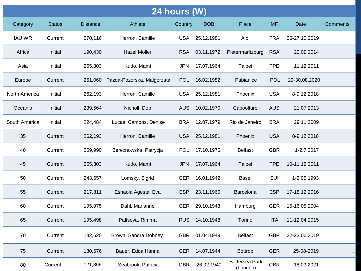| <b>24 hours (W)</b> |               |                 |                            |            |            |                                   |            |               |          |
|---------------------|---------------|-----------------|----------------------------|------------|------------|-----------------------------------|------------|---------------|----------|
| Category            | <b>Status</b> | <b>Distance</b> | Athlete                    | Country    | <b>DOB</b> | Place                             | <b>MF</b>  | Date          | Comments |
| <b>IAU WR</b>       | Current       | 270,116         | Herron, Camille            | <b>USA</b> | 25.12.1981 | Albi                              | <b>FRA</b> | 26-27.10.2019 |          |
| Africa              | Initial       | 190,430         | <b>Hazel Moller</b>        | <b>RSA</b> | 03.11.1972 | Pietermaritzburg                  | <b>RSA</b> | 20.09.2014    |          |
| Asia                | Initial       | 255,303         | Kudo, Mami                 | <b>JPN</b> | 17.07.1964 | Taipei                            | <b>TPE</b> | 11.12.2011    |          |
| Europe              | Current       | 261,060         | Pazda-Pozorska, Malgorzata | <b>POL</b> | 16.02.1982 | Pabianice                         | <b>POL</b> | 29-30.08.2020 |          |
| North America       | Initial       | 262,193         | Herron, Camille            | <b>USA</b> | 25.12.1981 | Phoenix                           | <b>USA</b> | 8-9.12.2018   |          |
| Oceania             | Initial       | 239,564         | Nicholl, Deb               | <b>AUS</b> | 10.02.1970 | Caboolture                        | <b>AUS</b> | 21.07.2013    |          |
| South America       | Initial       | 224,484         | Lucas, Campos, Denise      | <b>BRA</b> | 12.07.1979 | Rio de Janeiro                    | <b>BRA</b> | 29.11.2009    |          |
| 35                  | Current       | 262,193         | Herron, Camille            | <b>USA</b> | 25.12.1981 | Phoenix                           | <b>USA</b> | 8-9.12.2018   |          |
| 40                  | Current       | 259,990         | Bereznowska, Patrycja      | <b>POL</b> | 17.10.1975 | <b>Belfast</b>                    | <b>GBR</b> | 1-2.7.2017    |          |
| 45                  | Current       | 255,303         | Kudo, Mami                 | <b>JPN</b> | 17.07.1964 | Taipei                            | <b>TPE</b> | 10-11.12.2011 |          |
| 50                  | Current       | 243,657         | Lomsky, Sigrid             | <b>GER</b> | 16.01.1942 | Basel                             | <b>SUI</b> | 1-2.05.1993   |          |
| 55                  | Current       | 217,811         | Esnaola Agesta, Eva        | <b>ESP</b> | 23.11.1960 | Barcelona                         | <b>ESP</b> | 17-18.12.2016 |          |
| 60                  | Current       | 195,975         | Dahl, Marianne             | <b>GER</b> | 29.10.1943 | Hamburg                           | <b>GER</b> | 15-16.05.2004 |          |
| 65                  | Current       | 195,498         | Paltseva, Rimma            | <b>RUS</b> | 14.10.1948 | Torino                            | <b>ITA</b> | 11-12.04.2015 |          |
| 70                  | Current       | 182,620         | Brown, Sandra Dobney       | <b>GBR</b> | 01.04.1949 | <b>Belfast</b>                    | <b>GBR</b> | 22-23.06.2019 |          |
| 75                  | Current       | 130,676         | Bauer, Edda Hanna          | <b>GER</b> | 14.07.1944 | <b>Bottrop</b>                    | <b>GER</b> | 25-08-2019    |          |
| 80                  | Current       | 121,869         | Seabrook, Patricia         | <b>GBR</b> | 26.02.1940 | <b>Battersea Park</b><br>(London) | <b>GBR</b> | 18.09.2021    |          |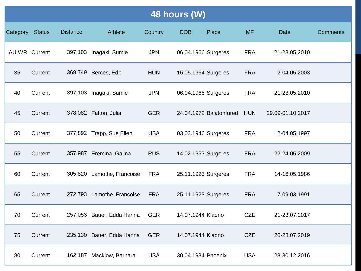|                       | 48 hours (W)  |                 |                            |            |                     |                         |            |                  |                 |  |
|-----------------------|---------------|-----------------|----------------------------|------------|---------------------|-------------------------|------------|------------------|-----------------|--|
| Category              | <b>Status</b> | <b>Distance</b> | Athlete                    | Country    | <b>DOB</b>          | Place                   | <b>MF</b>  | <b>Date</b>      | <b>Comments</b> |  |
| <b>IAU WR Current</b> |               |                 | 397,103 Inagaki, Sumie     | <b>JPN</b> | 06.04.1966 Surgeres |                         | <b>FRA</b> | 21-23.05.2010    |                 |  |
| 35                    | Current       |                 | 369,749 Berces, Edit       | <b>HUN</b> | 16.05.1964 Surgeres |                         | <b>FRA</b> | 2-04.05.2003     |                 |  |
| 40                    | Current       |                 | 397,103 Inagaki, Sumie     | <b>JPN</b> | 06.04.1966 Surgeres |                         | <b>FRA</b> | 21-23.05.2010    |                 |  |
| 45                    | Current       |                 | 378,082 Fatton, Julia      | <b>GER</b> |                     | 24.04.1972 Balatonfüred | <b>HUN</b> | 29.09-01.10.2017 |                 |  |
| 50                    | Current       |                 | 377,892 Trapp, Sue Ellen   | <b>USA</b> | 03.03.1946 Surgeres |                         | <b>FRA</b> | 2-04.05.1997     |                 |  |
| 55                    | Current       |                 | 357,987 Eremina, Galina    | <b>RUS</b> | 14.02.1953 Surgeres |                         | <b>FRA</b> | 22-24.05.2009    |                 |  |
| 60                    | Current       |                 | 305,820 Lamothe, Francoise | <b>FRA</b> | 25.11.1923 Surgeres |                         | <b>FRA</b> | 14-16.05.1986    |                 |  |
| 65                    | Current       |                 | 272,793 Lamothe, Francoise | <b>FRA</b> | 25.11.1923 Surgeres |                         | <b>FRA</b> | 7-09.03.1991     |                 |  |
| 70                    | Current       |                 | 257,053 Bauer, Edda Hanna  | <b>GER</b> | 14.07.1944 Kladno   |                         | <b>CZE</b> | 21-23.07.2017    |                 |  |
| 75                    | Current       |                 | 235,130 Bauer, Edda Hanna  | <b>GER</b> | 14.07.1944 Kladno   |                         | <b>CZE</b> | 26-28.07.2019    |                 |  |
| 80                    | Current       |                 | 162,187 Macklow, Barbara   | <b>USA</b> | 30.04.1934 Phoenix  |                         | <b>USA</b> | 28-30.12.2016    |                 |  |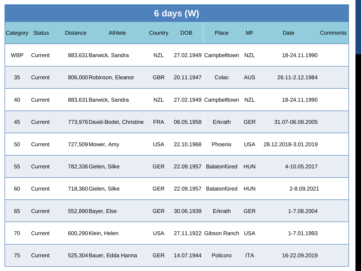| 6 days (W) |               |                         |                                |            |            |                             |            |                      |                 |  |
|------------|---------------|-------------------------|--------------------------------|------------|------------|-----------------------------|------------|----------------------|-----------------|--|
| Category   | <b>Status</b> | <b>Distance</b>         | Athlete                        | Country    | <b>DOB</b> | Place                       | <b>MF</b>  | <b>Date</b>          | <b>Comments</b> |  |
| <b>WBP</b> | Current       | 883,631 Barwick, Sandra |                                | <b>NZL</b> |            | 27.02.1949 Campbelltown NZL |            | 18-24.11.1990        |                 |  |
| 35         | Current       |                         | 806,000 Robinson, Eleanor      | <b>GBR</b> | 20.11.1947 | Colac                       | <b>AUS</b> | 26.11-2.12.1984      |                 |  |
| 40         | Current       |                         | 883,631 Barwick, Sandra        | <b>NZL</b> |            | 27.02.1949 Campbelltown NZL |            | 18-24.11.1990        |                 |  |
| 45         | Current       |                         | 773,976 David-Bodet, Christine | <b>FRA</b> | 08.05.1958 | Erkrath                     | <b>GER</b> | 31.07-06.08.2005     |                 |  |
| 50         | Current       | 727,509 Mower, Amy      |                                | <b>USA</b> | 22.10.1968 | Phoenix                     | <b>USA</b> | 28.12.2018-3.01.2019 |                 |  |
| 55         | Current       | 782,336 Gielen, Silke   |                                | <b>GER</b> | 22.09.1957 | Balatonfüred                | <b>HUN</b> | 4-10.05.2017         |                 |  |
| 60         | Current       | 718,360 Gielen, Silke   |                                | <b>GER</b> | 22.09.1957 | Balatonfüred                | <b>HUN</b> | 2-8.09.2021          |                 |  |
| 65         | Current       | 552,890 Bayer, Else     |                                | <b>GER</b> | 30.06.1939 | Erkrath                     | <b>GER</b> | 1-7.08.2004          |                 |  |
| 70         | Current       | 600,290 Klein, Helen    |                                | <b>USA</b> |            | 27.11.1922 Gibson Ranch USA |            | 1-7.01.1993          |                 |  |
| 75         | Current       |                         | 525,304 Bauer, Edda Hanna      | <b>GER</b> | 14.07.1944 | Policoro                    | <b>ITA</b> | 16-22.09.2019        |                 |  |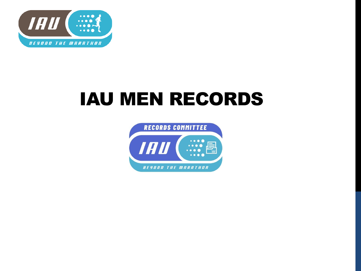

## IAU MEN RECORDS

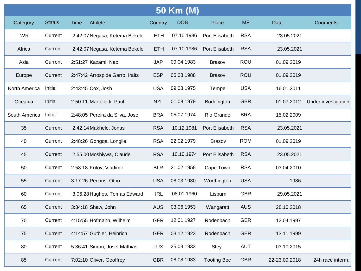| 50 Km (M)     |               |      |                                 |            |            |                    |            |               |                     |
|---------------|---------------|------|---------------------------------|------------|------------|--------------------|------------|---------------|---------------------|
| Category      | <b>Status</b> | Time | Athlete                         | Country    | <b>DOB</b> | Place              | <b>MF</b>  | Date          | Cooments            |
| <b>WR</b>     | Current       |      | 2:42:07 Negasa, Ketema Bekele   | <b>ETH</b> | 07.10.1986 | Port Elisabeth     | <b>RSA</b> | 23.05.2021    |                     |
| Africa        | Current       |      | 2:42:07 Negasa, Ketema Bekele   | <b>ETH</b> | 07.10.1986 | Port Elisabeth     | <b>RSA</b> | 23.05.2021    |                     |
| Asia          | Current       |      | 2:51:27 Kazami, Nao             | <b>JAP</b> | 09.04.1983 | <b>Brasov</b>      | <b>ROU</b> | 01.09.2019    |                     |
| Europe        | Current       |      | 2:47:42 Arrospide Garro, Iraitz | <b>ESP</b> | 05.08.1988 | <b>Brasov</b>      | <b>ROU</b> | 01.09.2019    |                     |
| North America | Initial       |      | 2:43:45 Cox, Josh               | <b>USA</b> | 09.08.1975 | Tempe              | <b>USA</b> | 16.01.2011    |                     |
| Oceania       | Initial       |      | 2:50:11 Martelletti, Paul       | <b>NZL</b> | 01.08.1979 | Boddington         | <b>GBR</b> | 01.07.2012    | Under investigation |
| South America | Initial       |      | 2:48:05 Pereira da Silva, Jose  | <b>BRA</b> | 05.07.1974 | Rio Grande         | <b>BRA</b> | 15.02.2009    |                     |
| 35            | Current       |      | 2.42.14 Makhele, Jonas          | <b>RSA</b> | 10.12.1981 | Port Elisabeth     | <b>RSA</b> | 23.05.2021    |                     |
| 40            | Current       |      | 2:48:26 Gongqa, Longile         | <b>RSA</b> | 22.02.1979 | <b>Brasov</b>      | <b>ROM</b> | 01.09.2019    |                     |
| 45            | Current       |      | 2.55.00 Moshiywa, Claude        | <b>RSA</b> | 10.10.1974 | Port Elisabeth     | <b>RSA</b> | 23.05.2021    |                     |
| 50            | Current       |      | 2:58:18 Kotov, Vladimir         | <b>BLR</b> | 21.02.1958 | Cape Town          | <b>RSA</b> | 03.04.2010    |                     |
| 55            | Current       |      | 3:17:26 Perkins, Otho           | <b>USA</b> | 08.03.1930 | Worthington        | <b>USA</b> | 1986          |                     |
| 60            | Current       |      | 3.06.28 Hughes, Tomas Edward    | <b>IRL</b> | 08.01.1960 | Lisburn            | <b>GBR</b> | 29.05.2021    |                     |
| 65            | Current       |      | 3:34:18 Shaw, John              | <b>AUS</b> | 03.06.1953 | Wangaratt          | <b>AUS</b> | 28.10.2018    |                     |
| 70            | Current       |      | 4:15:55 Hofmann, Wilhelm        | <b>GER</b> | 12.01.1927 | Rodenbach          | <b>GER</b> | 12.04.1997    |                     |
| 75            | Current       |      | 4:14:57 Gutbier, Heinrich       | <b>GER</b> | 03.12.1923 | Rodenbach          | <b>GER</b> | 13.11.1999    |                     |
| 80            | Current       |      | 5:36:41 Simon, Josef Mathias    | <b>LUX</b> | 25.03.1933 | Steyr              | <b>AUT</b> | 03.10.2015    |                     |
| 85            | Current       |      | 7:02:10 Oliver, Geoffrey        | <b>GBR</b> | 08.08.1933 | <b>Tooting Bec</b> | <b>GBR</b> | 22-23.09.2018 | 24h race interm.    |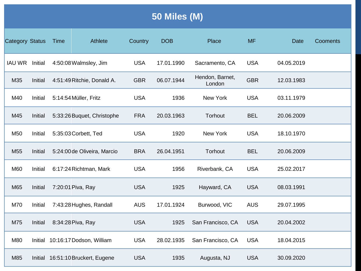| 50 Miles (M) |  |
|--------------|--|
|--------------|--|

| <b>Category Status</b> |         | Athlete<br>Time                   | Country    | <b>DOB</b> | Place                     | <b>MF</b>  | <b>Date</b> | Cooments |
|------------------------|---------|-----------------------------------|------------|------------|---------------------------|------------|-------------|----------|
| <b>IAU WR</b>          | Initial | 4:50:08 Walmsley, Jim             | <b>USA</b> | 17.01.1990 | Sacramento, CA            | <b>USA</b> | 04.05.2019  |          |
| M35                    | Initial | 4:51:49 Ritchie, Donald A.        | <b>GBR</b> | 06.07.1944 | Hendon, Barnet,<br>London | <b>GBR</b> | 12.03.1983  |          |
| M40                    | Initial | 5:14:54 Müller, Fritz             | <b>USA</b> | 1936       | New York                  | <b>USA</b> | 03.11.1979  |          |
| M45                    | Initial | 5:33:26 Buquet, Christophe        | <b>FRA</b> | 20.03.1963 | Torhout                   | <b>BEL</b> | 20.06.2009  |          |
| M50                    | Initial | 5:35:03 Corbett, Ted              | <b>USA</b> | 1920       | New York                  | <b>USA</b> | 18.10.1970  |          |
| M <sub>55</sub>        | Initial | 5:24:00 de Oliveira, Marcio       | <b>BRA</b> | 26.04.1951 | Torhout                   | <b>BEL</b> | 20.06.2009  |          |
| M60                    | Initial | 6:17:24 Richtman, Mark            | <b>USA</b> | 1956       | Riverbank, CA             | <b>USA</b> | 25.02.2017  |          |
| M65                    | Initial | 7:20:01 Piva, Ray                 | <b>USA</b> | 1925       | Hayward, CA               | <b>USA</b> | 08.03.1991  |          |
| M70                    | Initial | 7:43:28 Hughes, Randall           | <b>AUS</b> | 17.01.1924 | Burwood, VIC              | <b>AUS</b> | 29.07.1995  |          |
| M75                    | Initial | 8:34:28 Piva, Ray                 | <b>USA</b> | 1925       | San Francisco, CA         | <b>USA</b> | 20.04.2002  |          |
| M80                    |         | Initial 10:16:17 Dodson, William  | <b>USA</b> | 28.02.1935 | San Francisco, CA         | <b>USA</b> | 18.04.2015  |          |
| M85                    |         | Initial 16:51:10 Bruckert, Eugene | <b>USA</b> | 1935       | Augusta, NJ               | <b>USA</b> | 30.09.2020  |          |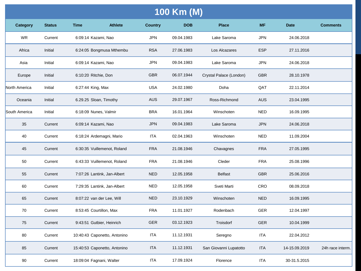| 100 Km (M)      |               |                               |                |            |                         |            |               |                  |  |  |  |
|-----------------|---------------|-------------------------------|----------------|------------|-------------------------|------------|---------------|------------------|--|--|--|
| <b>Category</b> | <b>Status</b> | <b>Athlete</b><br><b>Time</b> | <b>Country</b> | <b>DOB</b> | <b>Place</b>            | <b>MF</b>  | <b>Date</b>   | <b>Comments</b>  |  |  |  |
| <b>WR</b>       | Current       | 6:09:14 Kazami, Nao           | <b>JPN</b>     | 09.04.1983 | Lake Saroma             | <b>JPN</b> | 24.06.2018    |                  |  |  |  |
| Africa          | Initial       | 6:24:05 Bongmusa Mthembu      | <b>RSA</b>     | 27.06.1983 | Los Alcazares           | <b>ESP</b> | 27.11.2016    |                  |  |  |  |
| Asia            | Initial       | 6:09:14 Kazami, Nao           | <b>JPN</b>     | 09.04.1983 | Lake Saroma             | <b>JPN</b> | 24.06.2018    |                  |  |  |  |
| Europe          | Initial       | 6:10:20 Ritchie, Don          | <b>GBR</b>     | 06.07.1944 | Crystal Palace (London) | <b>GBR</b> | 28.10.1978    |                  |  |  |  |
| North America   | Initial       | 6:27:44 King, Max             | <b>USA</b>     | 24.02.1980 | Doha                    | QAT        | 22.11.2014    |                  |  |  |  |
| Oceania         | Initial       | 6.29.25 Sloan, Timothy        | <b>AUS</b>     | 29.07.1967 | Ross-Richmond           | <b>AUS</b> | 23.04.1995    |                  |  |  |  |
| South America   | Initial       | 6:18:09 Nunes, Valmir         | <b>BRA</b>     | 16.01.1964 | Winschoten              | <b>NED</b> | 16.09.1995    |                  |  |  |  |
| 35              | Current       | 6:09:14 Kazami, Nao           | <b>JPN</b>     | 09.04.1983 | Lake Saroma             | <b>JPN</b> | 24.06.2018    |                  |  |  |  |
| 40              | Current       | 6:18:24 Ardemagni, Mario      | <b>ITA</b>     | 02.04.1963 | Winschoten              | <b>NED</b> | 11.09.2004    |                  |  |  |  |
| 45              | Current       | 6:30:35 Vuillemenot, Roland   | <b>FRA</b>     | 21.08.1946 | Chavagnes               | <b>FRA</b> | 27.05.1995    |                  |  |  |  |
| 50              | Current       | 6:43:33 Vuillemenot, Roland   | <b>FRA</b>     | 21.08.1946 | Cleder                  | <b>FRA</b> | 25.08.1996    |                  |  |  |  |
| 55              | Current       | 7:07:26 Lantink, Jan-Albert   | <b>NED</b>     | 12.05.1958 | <b>Belfast</b>          | <b>GBR</b> | 25.06.2016    |                  |  |  |  |
| 60              | Current       | 7:29:35 Lantink, Jan-Albert   | <b>NED</b>     | 12.05.1958 | Sveti Marti             | CRO        | 08.09.2018    |                  |  |  |  |
| 65              | Current       | 8:07:22 van der Lee, Will     | <b>NED</b>     | 23.10.1929 | Winschoten              | <b>NED</b> | 16.09.1995    |                  |  |  |  |
| 70              | Current       | 8:53:45 Courtillon, Max       | <b>FRA</b>     | 11.01.1927 | Rodenbach               | <b>GER</b> | 12.04.1997    |                  |  |  |  |
| 75              | Current       | 9:43:51 Gutbier, Heinrich     | <b>GER</b>     | 03.12.1923 | Troisdorf               | <b>GER</b> | 10.04.1999    |                  |  |  |  |
| 80              | Current       | 10:40:43 Caponetto, Antonino  | <b>ITA</b>     | 11.12.1931 | Seregno                 | <b>ITA</b> | 22.04.2012    |                  |  |  |  |
| 85              | Current       | 15:40:53 Caponetto, Antonino  | <b>ITA</b>     | 11.12.1931 | San Giovanni Lupatotto  | <b>ITA</b> | 14-15.09.2019 | 24h race interm. |  |  |  |
| 90              | Current       | 18:09:04 Fagnani, Walter      | <b>ITA</b>     | 17.09.1924 | Florence                | <b>ITA</b> | 30-31.5.2015  |                  |  |  |  |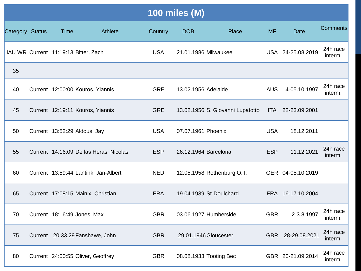| <b>100 miles (M)</b> |  |                                        |         |            |                      |                                  |            |                   |                     |  |
|----------------------|--|----------------------------------------|---------|------------|----------------------|----------------------------------|------------|-------------------|---------------------|--|
| Category Status      |  | Time                                   | Athlete | Country    | <b>DOB</b>           | Place                            | <b>MF</b>  | <b>Date</b>       | <b>Comments</b>     |  |
|                      |  | IAU WR Current 11:19:13 Bitter, Zach   |         | <b>USA</b> | 21.01.1986 Milwaukee |                                  |            | USA 24-25.08.2019 | 24h race<br>interm. |  |
| 35                   |  |                                        |         |            |                      |                                  |            |                   |                     |  |
| 40                   |  | Current 12:00:00 Kouros, Yiannis       |         | <b>GRE</b> | 13.02.1956 Adelaide  |                                  | <b>AUS</b> | 4-05.10.1997      | 24h race<br>interm. |  |
| 45                   |  | Current 12:19:11 Kouros, Yiannis       |         | <b>GRE</b> |                      | 13.02.1956 S. Giovanni Lupatotto | <b>ITA</b> | 22-23.09.2001     |                     |  |
| 50                   |  | Current 13:52:29 Aldous, Jay           |         | <b>USA</b> | 07.07.1961 Phoenix   |                                  | <b>USA</b> | 18.12.2011        |                     |  |
| 55                   |  | Current 14:16:09 De las Heras, Nicolas |         | <b>ESP</b> | 26.12.1964 Barcelona |                                  | <b>ESP</b> | 11.12.2021        | 24h race<br>interm. |  |
| 60                   |  | Current 13:59:44 Lantink, Jan-Albert   |         | <b>NED</b> |                      | 12.05.1958 Rothenburg O.T.       |            | GER 04-05.10.2019 |                     |  |
| 65                   |  | Current 17:08:15 Mainix, Christian     |         | <b>FRA</b> |                      | 19.04.1939 St-Doulchard          |            | FRA 16-17.10.2004 |                     |  |
| 70                   |  | Current 18:16:49 Jones, Max            |         | <b>GBR</b> |                      | 03.06.1927 Humberside            | <b>GBR</b> | 2-3.8.1997        | 24h race<br>interm. |  |
| 75                   |  | Current 20:33.29 Fanshawe, John        |         | <b>GBR</b> |                      | 29.01.1946 Gloucester            |            | GBR 28-29.08.2021 | 24h race<br>interm. |  |
| 80                   |  | Current 24:00:55 Oliver, Geoffrey      |         | <b>GBR</b> |                      | 08.08.1933 Tooting Bec           |            | GBR 20-21.09.2014 | 24h race<br>interm. |  |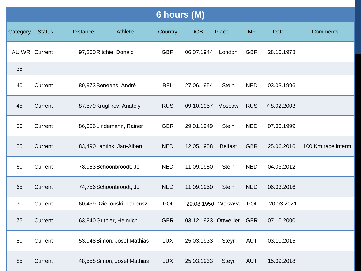| 6 hours (M)    |               |                            |                             |            |                       |                |            |             |                     |  |  |
|----------------|---------------|----------------------------|-----------------------------|------------|-----------------------|----------------|------------|-------------|---------------------|--|--|
| Category       | <b>Status</b> | <b>Distance</b>            | Athlete                     | Country    | <b>DOB</b>            | Place          | <b>MF</b>  | <b>Date</b> | <b>Comments</b>     |  |  |
| IAU WR Current |               | 97,200 Ritchie, Donald     |                             | <b>GBR</b> | 06.07.1944            | London         | <b>GBR</b> | 28.10.1978  |                     |  |  |
| 35             |               |                            |                             |            |                       |                |            |             |                     |  |  |
| 40             | Current       | 89,973 Beneens, André      |                             | <b>BEL</b> | 27.06.1954            | <b>Stein</b>   | <b>NED</b> | 03.03.1996  |                     |  |  |
| 45             | Current       | 87,579 Kruglikov, Anatoly  |                             | <b>RUS</b> | 09.10.1957            | <b>Moscow</b>  | <b>RUS</b> | 7-8.02.2003 |                     |  |  |
| 50             | Current       |                            | 86,056 Lindemann, Rainer    | <b>GER</b> | 29.01.1949            | <b>Stein</b>   | <b>NED</b> | 07.03.1999  |                     |  |  |
| 55             | Current       | 83,490 Lantink, Jan-Albert |                             | <b>NED</b> | 12.05.1958            | <b>Belfast</b> | <b>GBR</b> | 25.06.2016  | 100 Km race interm. |  |  |
| 60             | Current       | 78,953 Schoonbroodt, Jo    |                             | <b>NED</b> | 11.09.1950            | <b>Stein</b>   | <b>NED</b> | 04.03.2012  |                     |  |  |
| 65             | Current       | 74,756 Schoonbroodt, Jo    |                             | <b>NED</b> | 11.09.1950            | <b>Stein</b>   | <b>NED</b> | 06.03.2016  |                     |  |  |
| 70             | Current       |                            | 60,439 Dziekonski, Tadeusz  | <b>POL</b> | 29.08.1950 Warzava    |                | <b>POL</b> | 20.03.2021  |                     |  |  |
| 75             | Current       | 63,940 Gutbier, Heinrich   |                             | <b>GER</b> | 03.12.1923 Ottweiller |                | <b>GER</b> | 07.10.2000  |                     |  |  |
| 80             | Current       |                            | 53,948 Simon, Josef Mathias | <b>LUX</b> | 25.03.1933            | Steyr          | <b>AUT</b> | 03.10.2015  |                     |  |  |
| 85             | Current       |                            | 48,558 Simon, Josef Mathias | <b>LUX</b> | 25.03.1933            | <b>Steyr</b>   | <b>AUT</b> | 15.09.2018  |                     |  |  |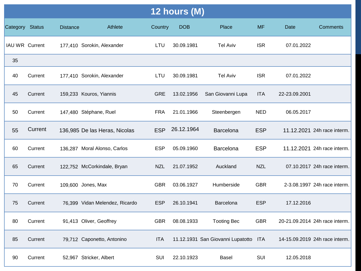| 12 hours (M)    |         |                 |                                |            |            |                                       |            |               |                                |  |
|-----------------|---------|-----------------|--------------------------------|------------|------------|---------------------------------------|------------|---------------|--------------------------------|--|
| Category Status |         | <b>Distance</b> | Athlete                        | Country    | <b>DOB</b> | Place                                 | <b>MF</b>  | Date          | Comments                       |  |
| IAU WR Current  |         |                 | 177,410 Sorokin, Alexander     | LTU        | 30.09.1981 | <b>Tel Aviv</b>                       | <b>ISR</b> | 07.01.2022    |                                |  |
| 35              |         |                 |                                |            |            |                                       |            |               |                                |  |
| 40              | Current |                 | 177,410 Sorokin, Alexander     | LTU        | 30.09.1981 | <b>Tel Aviv</b>                       | <b>ISR</b> | 07.01.2022    |                                |  |
| 45              | Current |                 | 159,233 Kouros, Yiannis        | <b>GRE</b> | 13.02.1956 | San Giovanni Lupa                     | <b>ITA</b> | 22-23.09.2001 |                                |  |
| 50              | Current |                 | 147,480 Stéphane, Ruel         | <b>FRA</b> | 21.01.1966 | Steenbergen                           | <b>NED</b> | 06.05.2017    |                                |  |
| 55              | Current |                 | 136,985 De las Heras, Nicolas  | <b>ESP</b> | 26.12.1964 | <b>Barcelona</b>                      | <b>ESP</b> |               | 11.12.2021 24h race interm.    |  |
| 60              | Current |                 | 136,287 Moral Alonso, Carlos   | <b>ESP</b> | 05.09.1960 | <b>Barcelona</b>                      | <b>ESP</b> |               | 11.12.2021 24h race interm.    |  |
| 65              | Current |                 | 122,752 McCorkindale, Bryan    | <b>NZL</b> | 21.07.1952 | Auckland                              | <b>NZL</b> |               | 07.10.2017 24h race interm.    |  |
| 70              | Current |                 | 109,600 Jones, Max             | <b>GBR</b> | 03.06.1927 | Humberside                            | <b>GBR</b> |               | 2-3.08.1997 24h race interm.   |  |
| 75              | Current |                 | 76,399 Vidan Melendez, Ricardo | <b>ESP</b> | 26.10.1941 | Barcelona                             | <b>ESP</b> | 17.12.2016    |                                |  |
| 80              | Current |                 | 91,413 Oliver, Geoffrey        | <b>GBR</b> | 08.08.1933 | <b>Tooting Bec</b>                    | <b>GBR</b> |               | 20-21.09.2014 24h race interm. |  |
| 85              | Current |                 | 79,712 Caponetto, Antonino     | <b>ITA</b> |            | 11.12.1931 San Giovanni Lupatotto ITA |            |               | 14-15.09.2019 24h race interm. |  |
| 90              | Current |                 | 52,967 Stricker, Albert        | SUI        | 22.10.1923 | Basel                                 | SUI        | 12.05.2018    |                                |  |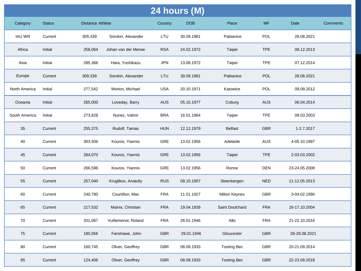| 24 hours (M)  |               |                         |                     |            |            |                      |            |               |                 |  |
|---------------|---------------|-------------------------|---------------------|------------|------------|----------------------|------------|---------------|-----------------|--|
| Category      | <b>Status</b> | <b>Distance Athlete</b> |                     | Country    | <b>DOB</b> | Place                | <b>MF</b>  | Date          | <b>Comments</b> |  |
| <b>IAU WR</b> | Current       | 309,339                 | Sorokin, Alexander  | LTU        | 30.09.1981 | Pabianice            | <b>POL</b> | 28.08.2021    |                 |  |
| Africa        | Initial       | 258,064                 | Johan van der Merwe | <b>RSA</b> | 24.02.1972 | Taipei               | <b>TPE</b> | 08.12.2013    |                 |  |
| Asia          | Initial       | 285,366                 | Hara, Yoshikazu     | JPN        | 13.08.1972 | Taipei               | <b>TPE</b> | 07.12.2014    |                 |  |
| Europe        | Current       | 309,339                 | Sorokin, Alexander  | LTU        | 30.09.1981 | Pabianice            | <b>POL</b> | 28.08.2021    |                 |  |
| North America | Initial       | 277,542                 | Morton, Michael     | <b>USA</b> | 20.10.1971 | Katowice             | POL        | 09.09.2012    |                 |  |
| Oceania       | Initial       | 265,000                 | Loveday, Barry      | AUS        | 05.10.1977 | Coburg               | <b>AUS</b> | 06.04.2014    |                 |  |
| South America | Initial       | 273,828                 | Nunes, Valmir       | <b>BRA</b> | 16.01.1964 | Taipei               | <b>TPE</b> | 09.03.2003    |                 |  |
| 35            | Current       | 255,375                 | Rudolf, Tamas       | <b>HUN</b> | 12.12.1979 | <b>Belfast</b>       | <b>GBR</b> | 1-2.7.2017    |                 |  |
| 40            | Current       | 303,506                 | Kouros, Yiannis     | GRE        | 13.02.1956 | Adelaide             | <b>AUS</b> | 4-05.10.1997  |                 |  |
| 45            | Current       | 284,070                 | Kouros, Yiannis     | <b>GRE</b> | 13.02.1956 | Taipei               | <b>TPE</b> | 2-03.03.2002  |                 |  |
| 50            | Current       | 266,596                 | Kouros, Yiannis     | <b>GRE</b> | 13.02.1956 | Ronne                | <b>DEN</b> | 23-24.05.2008 |                 |  |
| 55            | Current       | 257,040                 | Kruglikov, Anatoliy | <b>RUS</b> | 09.10.1957 | Steenbergen          | <b>NED</b> | 11-12.05.2013 |                 |  |
| 60            | Current       | 240,790                 | Courtillon, Max     | <b>FRA</b> | 11.01.1927 | <b>Milton Keynes</b> | <b>GBR</b> | 3-04.02.1990  |                 |  |
| 65            | Current       | 217,532                 | Mainix, Christian   | <b>FRA</b> | 19.04.1939 | Saint Doulchard      | <b>FRA</b> | 16-17.10.2004 |                 |  |
| 70            | Current       | 201,087                 | Vuillemenot, Roland | <b>FRA</b> | 28.01.1946 | Albi                 | <b>FRA</b> | 21-22.10.2016 |                 |  |
| 75            | Current       | 180,056                 | Fanshawe, John      | <b>GBR</b> | 29.01.1946 | Gloucester           | <b>GBR</b> | 28-29.08.2021 |                 |  |
| 80            | Current       | 160,745                 | Oliver, Geoffrey    | GBR        | 08.08.1933 | <b>Tooting Bec</b>   | GBR        | 20-21.09.2014 |                 |  |
| 85            | Current       | 124,406                 | Oliver, Geoffrey    | <b>GBR</b> | 08.08.1933 | <b>Tooting Bec</b>   | <b>GBR</b> | 22-23.09.2018 |                 |  |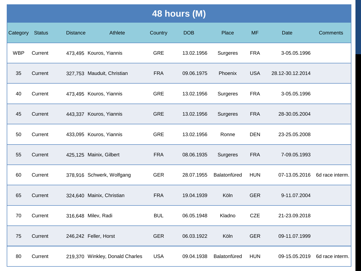| 48 hours (M)    |               |                 |                                 |            |            |                 |            |                  |                               |  |  |
|-----------------|---------------|-----------------|---------------------------------|------------|------------|-----------------|------------|------------------|-------------------------------|--|--|
| <b>Category</b> | <b>Status</b> | <b>Distance</b> | Athlete                         | Country    | <b>DOB</b> | Place           | <b>MF</b>  | Date             | <b>Comments</b>               |  |  |
| <b>WBP</b>      | Current       |                 | 473,495 Kouros, Yiannis         | <b>GRE</b> | 13.02.1956 | Surgeres        | <b>FRA</b> | 3-05.05.1996     |                               |  |  |
| 35              | Current       |                 | 327,753 Mauduit, Christian      | <b>FRA</b> | 09.06.1975 | Phoenix         | <b>USA</b> | 28.12-30.12.2014 |                               |  |  |
| 40              | Current       |                 | 473,495 Kouros, Yiannis         | <b>GRE</b> | 13.02.1956 | Surgeres        | <b>FRA</b> | 3-05.05.1996     |                               |  |  |
| 45              | Current       |                 | 443,337 Kouros, Yiannis         | <b>GRE</b> | 13.02.1956 | Surgeres        | <b>FRA</b> | 28-30.05.2004    |                               |  |  |
| 50              | Current       |                 | 433,095 Kouros, Yiannis         | <b>GRE</b> | 13.02.1956 | Ronne           | <b>DEN</b> | 23-25.05.2008    |                               |  |  |
| 55              | Current       |                 | 425,125 Mainix, Gilbert         | <b>FRA</b> | 08.06.1935 | <b>Surgeres</b> | <b>FRA</b> | 7-09.05.1993     |                               |  |  |
| 60              | Current       |                 | 378,916 Schwerk, Wolfgang       | <b>GER</b> | 28.07.1955 | Balatonfüred    | <b>HUN</b> |                  | 07-13.05.2016 6d race interm. |  |  |
| 65              | Current       |                 | 324,640 Mainix, Christian       | <b>FRA</b> | 19.04.1939 | Köln            | <b>GER</b> | 9-11.07.2004     |                               |  |  |
| 70              | Current       |                 | 316,648 Milev, Radi             | <b>BUL</b> | 06.05.1948 | Kladno          | <b>CZE</b> | 21-23.09.2018    |                               |  |  |
| 75              | Current       |                 | 246,242 Feller, Horst           | <b>GER</b> | 06.03.1922 | Köln            | <b>GER</b> | 09-11.07.1999    |                               |  |  |
| 80              | Current       |                 | 219,370 Winkley, Donald Charles | <b>USA</b> | 09.04.1938 | Balatonfüred    | <b>HUN</b> |                  | 09-15.05.2019 6d race interm. |  |  |